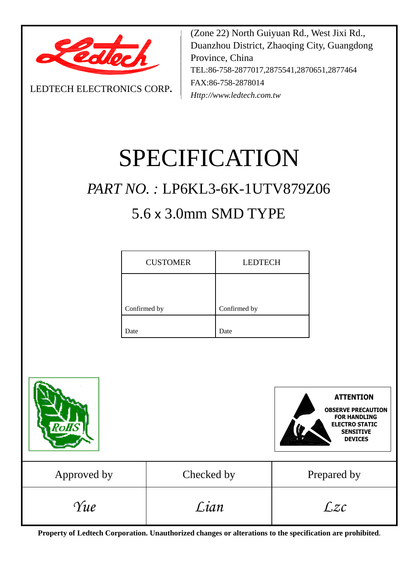

LEDTECH ELECTRONICS CORP**.**

(Zone 22) North Guiyuan Rd., West Jixi Rd., Duanzhou District, Zhaoqing City, Guangdong Province, China TEL:86-758-2877017,2875541,2870651,2877464 FAX:86-758-2878014 *Http://www.ledtech.com.tw*

# SPECIFICATION

## *PART NO. :* LP6KL3-6K-1UTV879Z06

## 5.6 x 3.0mm SMD TYPE

| <b>CUSTOMER</b> | <b>LEDTECH</b> |  |  |
|-----------------|----------------|--|--|
|                 |                |  |  |
| Confirmed by    | Confirmed by   |  |  |
| Date            | Date           |  |  |



**Property of Ledtech Corporation. Unauthorized changes or alterations to the specification are prohibited***.*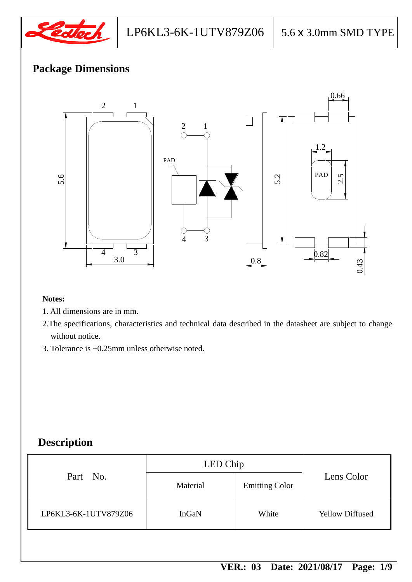

## **Package Dimensions**



#### **Notes:**

- 1. All dimensions are in mm.
- 2.The specifications, characteristics and technical data described in the datasheet are subject to change without notice.
- 3. Tolerance is ±0.25mm unless otherwise noted.

## **Description**

|                      | LED Chip |                       |                        |
|----------------------|----------|-----------------------|------------------------|
| Part No.             | Material | <b>Emitting Color</b> | Lens Color             |
| LP6KL3-6K-1UTV879Z06 | InGaN    | White                 | <b>Yellow Diffused</b> |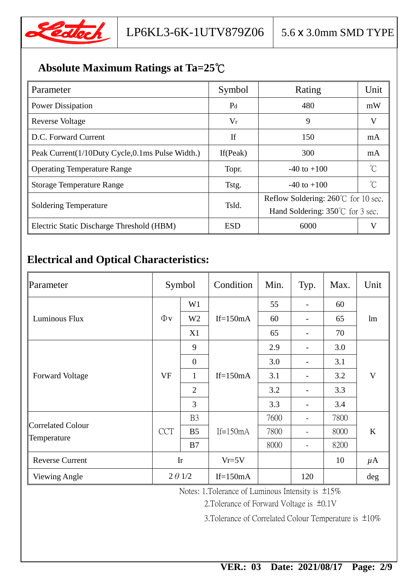

## **Absolute Maximum Ratings at Ta=25**℃

| Parameter                                       | Symbol         | Rating                                                                                      | Unit         |
|-------------------------------------------------|----------------|---------------------------------------------------------------------------------------------|--------------|
| <b>Power Dissipation</b>                        | P <sub>d</sub> | 480                                                                                         | mW           |
| <b>Reverse Voltage</b>                          | $V_r$          | 9                                                                                           | V            |
| D.C. Forward Current                            | If             | 150                                                                                         | mA           |
| Peak Current(1/10Duty Cycle,0.1ms Pulse Width.) | If $(Peak)$    | 300                                                                                         | mA           |
| <b>Operating Temperature Range</b>              | Topr.          | $-40$ to $+100$                                                                             | °C           |
| <b>Storage Temperature Range</b>                | Tstg.          | $-40$ to $+100$                                                                             | $^{\circ}$ C |
| <b>Soldering Temperature</b>                    | Tsld.          | Reflow Soldering: $260^{\circ}$ C for 10 sec.<br>Hand Soldering: $350^{\circ}$ C for 3 sec. |              |
| Electric Static Discharge Threshold (HBM)       | <b>ESD</b>     | 6000                                                                                        | V            |

## **Electrical and Optical Characteristics:**

| Parameter                        | Symbol         |                | Condition   | Min. | Typ. | Max. | Unit    |
|----------------------------------|----------------|----------------|-------------|------|------|------|---------|
|                                  |                | W <sub>1</sub> | If= $150mA$ | 55   |      | 60   | lm      |
| Luminous Flux                    | $\Phi$ v       | W <sub>2</sub> |             | 60   |      | 65   |         |
|                                  |                | X1             |             | 65   |      | 70   |         |
|                                  |                | 9              | If= $150mA$ | 2.9  |      | 3.0  | V       |
|                                  |                | $\overline{0}$ |             | 3.0  |      | 3.1  |         |
| <b>Forward Voltage</b>           | <b>VF</b>      | $\mathbf{1}$   |             | 3.1  |      | 3.2  |         |
|                                  |                | $\overline{2}$ |             | 3.2  |      | 3.3  |         |
|                                  |                | 3              |             | 3.3  |      | 3.4  |         |
|                                  | <b>CCT</b>     | B <sub>3</sub> | If= $150mA$ | 7600 |      | 7800 | K       |
| Correlated Colour<br>Temperature |                | B <sub>5</sub> |             | 7800 |      | 8000 |         |
|                                  |                | B7             |             | 8000 |      | 8200 |         |
| <b>Reverse Current</b>           | Ir             |                | $Vr=5V$     |      |      | 10   | $\mu$ A |
| <b>Viewing Angle</b>             | $2 \theta$ 1/2 |                | $If=150mA$  |      | 120  |      | deg     |

Notes: 1.Tolerance of Luminous Intensity is ±15%

2.Tolerance of Forward Voltage is ±0.1V

3.Tolerance of Correlated Colour Temperature is ±10%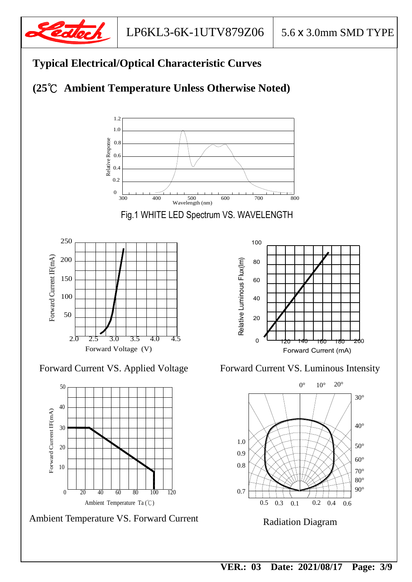





Ambient Temperature VS. Forward Current

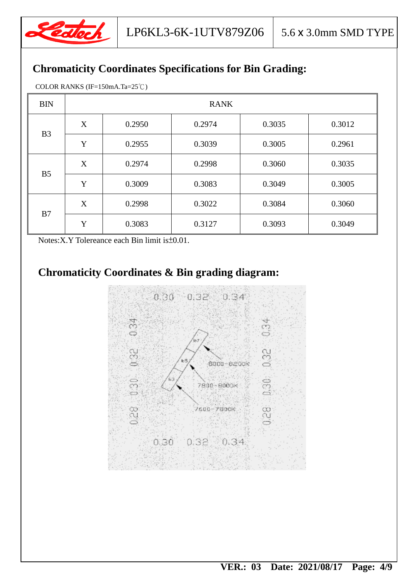

## **Chromaticity Coordinates Specifications for Bin Grading:**

COLOR RANKS (IF=150mA.Ta=25℃)

| <b>BIN</b>          | <b>RANK</b> |        |        |        |        |  |
|---------------------|-------------|--------|--------|--------|--------|--|
| B <sub>3</sub>      | X           | 0.2950 | 0.2974 | 0.3035 | 0.3012 |  |
|                     | Y           | 0.2955 | 0.3039 | 0.3005 | 0.2961 |  |
|                     | X           | 0.2974 | 0.2998 | 0.3060 | 0.3035 |  |
| B <sub>5</sub><br>Y |             | 0.3009 | 0.3083 | 0.3049 | 0.3005 |  |
|                     | X           | 0.2998 | 0.3022 | 0.3084 | 0.3060 |  |
| B7                  | Y           | 0.3083 | 0.3127 | 0.3093 | 0.3049 |  |

Notes:X.Y Tolereance each Bin limit is±0.01.

## **Chromaticity Coordinates & Bin grading diagram:**

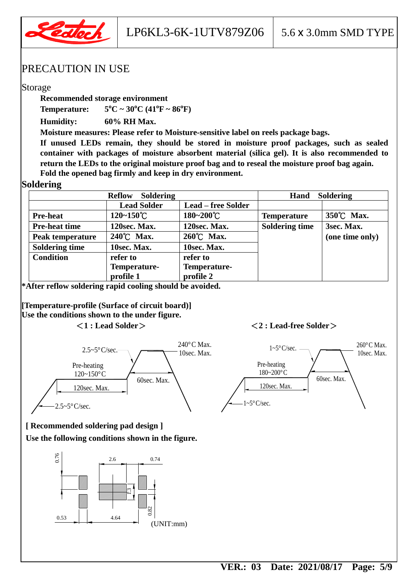

LP6KL3-6K-1UTV879Z06  $\mid$  5.6 x 3.0mm SMD TYPE

#### PRECAUTION IN USE

#### Storage

**Recommended storage environment**

**Temperature: 5**  ${}^{0}C \sim 30 {}^{0}C (41 {}^{0}F \sim 86 {}^{0}F)$ 

**Humidity: 60% RH Max.**

**Moisture measures: Please refer to Moisture-sensitive label on reels package bags.**

**If unused LEDs remain, they should be stored in moisture proof packages, such as sealed container with packages of moisture absorbent material (silica gel). It is also recommended to return the LEDs to the original moisture proof bag and to reseal the moisture proof bag again. Fold the opened bag firmly and keep in dry environment.**

#### **Soldering**

| <b>Soldering</b><br><b>Reflow</b> |                       |                           | <b>Soldering</b><br>Hand |                 |  |
|-----------------------------------|-----------------------|---------------------------|--------------------------|-----------------|--|
|                                   | <b>Lead Solder</b>    | <b>Lead – free Solder</b> |                          |                 |  |
| <b>Pre-heat</b>                   | $120 - 150^{\circ}$ C | $180 - 200^{\circ}C$      | <b>Temperature</b>       | 350°C Max.      |  |
| <b>Pre-heat time</b>              | 120sec. Max.          | 120sec. Max.              | <b>Soldering time</b>    | 3sec. Max.      |  |
| Peak temperature                  | 240°C Max.            | 260°C Max.                |                          | (one time only) |  |
| <b>Soldering time</b>             | 10sec. Max.           | 10sec. Max.               |                          |                 |  |
| <b>Condition</b>                  | refer to              | refer to                  |                          |                 |  |
|                                   | Temperature-          | Temperature-              |                          |                 |  |
|                                   | profile 1             | profile 2                 |                          |                 |  |

**\*After reflow soldering rapid cooling should be avoided.**

**[Temperature-profile (Surface of circuit board)] Use the conditions shown to the under figure.**

#### <**1 : Lead Solder**><**2 : Lead-free Solder**>



60sec. Max. Pre-heating 180~200°C  $1 \sim 5\degree \text{C/sec.}$  260 $\degree \text{C Max.}$ 10sec. Max.

120sec. Max.

 $\sim 5^{\circ}$ C/sec.

## **[ Recommended soldering pad design ]**

**Use the following conditions shown in the figure.**

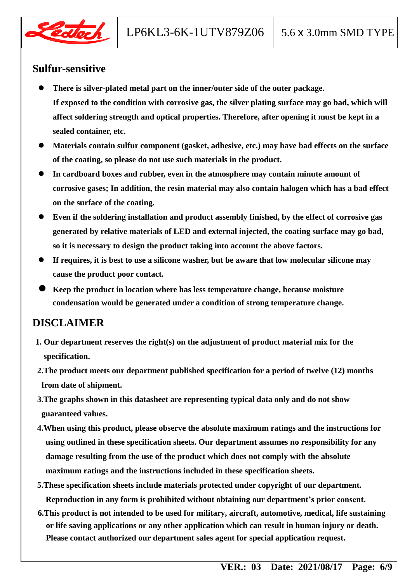

### **Sulfur-sensitive**

- **There is silver-plated metal part on the inner/outer side of the outer package. If exposed to the condition with corrosive gas, the silver plating surface may go bad, which will affect soldering strength and optical properties. Therefore, after opening it must be kept in a sealed container, etc.**
- **Materials contain sulfur component (gasket, adhesive, etc.) may have bad effects on the surface of the coating, so please do not use such materials in the product.**
- **In cardboard boxes and rubber, even in the atmosphere may contain minute amount of corrosive gases; In addition, the resin material may also contain halogen which has a bad effect on the surface of the coating.**
- **Even if the soldering installation and product assembly finished, by the effect of corrosive gas generated by relative materials of LED and external injected, the coating surface may go bad, so it is necessary to design the product taking into account the above factors.**
- **If requires, it is best to use a silicone washer, but be aware that low molecular silicone may cause the product poor contact.**
- **Keep the product in location where has less temperature change, because moisture condensation would be generated under a condition of strong temperature change.**

### **DISCLAIMER**

- **1. Our department reserves the right(s) on the adjustment of product material mix for the specification.**
- **2.The product meets our department published specification for a period of twelve (12) months from date of shipment.**
- **3.The graphs shown in this datasheet are representing typical data only and do not show guaranteed values.**
- **4.When using this product, please observe the absolute maximum ratings and the instructions for using outlined in these specification sheets. Our department assumes no responsibility for any damage resulting from the use of the product which does not comply with the absolute maximum ratings and the instructions included in these specification sheets.**
- **5.These specification sheets include materials protected under copyright of our department. Reproduction in any form is prohibited without obtaining our department's prior consent.**
- **6.This product is not intended to be used for military, aircraft, automotive, medical, life sustaining or life saving applications or any other application which can result in human injury or death. Please contact authorized our department sales agent for special application request.**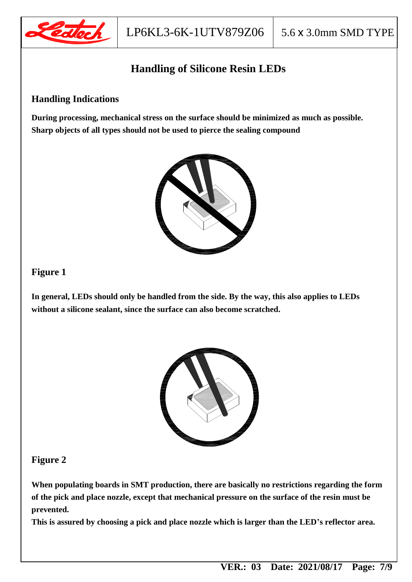

## **Handling of Silicone Resin LEDs**

#### **Handling Indications**

**During processing, mechanical stress on the surface should be minimized as much as possible. Sharp objects of all types should not be used to pierce the sealing compound**



#### **Figure 1**

**In general, LEDs should only be handled from the side. By the way, this also applies to LEDs without a silicone sealant, since the surface can also become scratched.**



#### **Figure 2**

**When populating boards in SMT production, there are basically no restrictions regarding the form of the pick and place nozzle, except that mechanical pressure on the surface of the resin must be prevented.**

**This is assured by choosing a pick and place nozzle which is larger than the LED's reflector area.**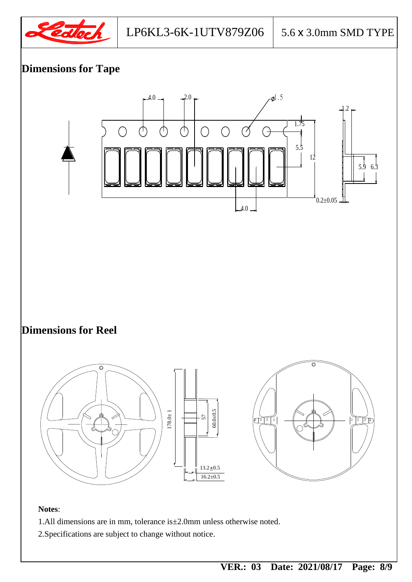





2.Specifications are subject to change without notice.